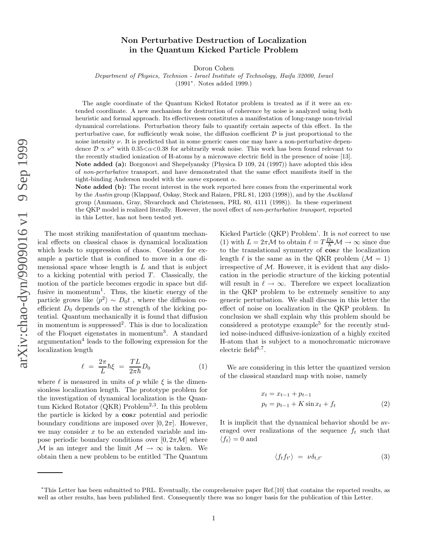## Non Perturbative Destruction of Localization in the Quantum Kicked Particle Problem

Doron Cohen

Department of Physics, Technion - Israel Institute of Technology, Haifa 32000, Israel

(1991 ∗ . Notes added 1999.)

The angle coordinate of the Quantum Kicked Rotator problem is treated as if it were an extended coordinate. A new mechanism for destruction of coherence by noise is analyzed using both heuristic and formal approach. Its effectiveness constitutes a manifestation of long-range non-trivial dynamical correlations. Perturbation theory fails to quantify certain aspects of this effect. In the perturbative case, for sufficiently weak noise, the diffusion coefficient  $D$  is just proportional to the noise intensity ν. It is predicted that in some generic cases one may have a non-perturbative dependence  $\mathcal{D} \propto \nu^{\alpha}$  with 0.35< $\alpha$ <0.38 for arbitrarily weak noise. This work has been found relevant to the recently studied ionization of H-atoms by a microwave electric field in the presence of noise [13]. Note added (a): Borgonovi and Shepelyansky (Physica D 109, 24 (1997)) have adopted this idea of non-perturbative transport, and have demonstrated that the same effect manifests itself in the tight-binding Anderson model with the same exponent  $\alpha$ .

Note added (b): The recent interest in the work reported here comes from the experimental work by the Austin group (Klappauf, Oskay, Steck and Raizen, PRL 81, 1203 (1998)), and by the Auckland group (Ammann, Gray, Shvarchuck and Christensen, PRL 80, 4111 (1998)). In these experiment the QKP model is realized literally. However, the novel effect of non-perturbative transport, reported in this Letter, has not been tested yet.

The most striking manifestation of quantum mechanical effects on classical chaos is dynamical localization which leads to suppression of chaos. Consider for example a particle that is confined to move in a one dimensional space whose length is  $L$  and that is subject to a kicking potential with period  $T$ . Classically, the motion of the particle becomes ergodic in space but diffusive in momentum<sup>1</sup>. Thus, the kinetic energy of the particle grows like  $\langle p^2 \rangle \sim D_0 t$ , where the diffusion coefficient  $D_0$  depends on the strength of the kicking potential. Quantum mechanically it is found that diffusion in momentum is suppressed 2 . This is due to localization of the Floquet eigenstates in momentum 3 . A standard argumentation 4 leads to the following expression for the localization length

$$
\ell = \frac{2\pi}{L}\hbar\xi = \frac{TL}{2\pi\hbar}D_0\tag{1}
$$

where  $\ell$  is measured in units of p while  $\xi$  is the dimensionless localization length. The prototype problem for the investigation of dynamical localization is the Quantum Kicked Rotator  $(QKR)$  Problem<sup>2,3</sup>. In this problem the particle is kicked by a cos x potential and periodic boundary conditions are imposed over  $[0, 2\pi]$ . However, we may consider  $x$  to be an extended variable and impose periodic boundary conditions over  $[0, 2\pi \mathcal{M}]$  where M is an integer and the limit  $M \to \infty$  is taken. We obtain then a new problem to be entitled 'The Quantum

Kicked Particle (QKP) Problem'. It is not correct to use (1) with  $L = 2\pi \mathcal{M}$  to obtain  $\ell = T \frac{D_0}{\hbar} \mathcal{M} \rightarrow \infty$  since due to the translational symmetry of cos x the localization length  $\ell$  is the same as in the QKR problem  $(\mathcal{M} = 1)$ irrespective of  $M$ . However, it is evident that any dislocation in the periodic structure of the kicking potential will result in  $\ell \to \infty$ . Therefore we expect localization in the QKP problem to be extremely sensitive to any generic perturbation. We shall discuss in this letter the effect of noise on localization in the QKP problem. In conclusion we shall explain why this problem should be considered a prototype example 5 for the recently studied noise-induced diffusive-ionization of a highly excited H-atom that is subject to a monochromatic microwave  $electric field$ <sup>6,7</sup>.

We are considering in this letter the quantized version of the classical standard map with noise, namely

$$
x_t = x_{t-1} + p_{t-1}
$$
  
\n
$$
p_t = p_{t-1} + K \sin x_t + f_t
$$
 (2)

It is implicit that the dynamical behavior should be averaged over realizations of the sequence  $f_t$  such that  $\langle f_t \rangle = 0$  and

$$
\langle f_t f_{t'} \rangle = \nu \delta_{t,t'} \tag{3}
$$

<sup>∗</sup>This Letter has been submitted to PRL. Eventually, the comprehensive paper Ref.[10] that contains the reported results, as well as other results, has been published first. Consequently there was no longer basis for the publication of this Letter .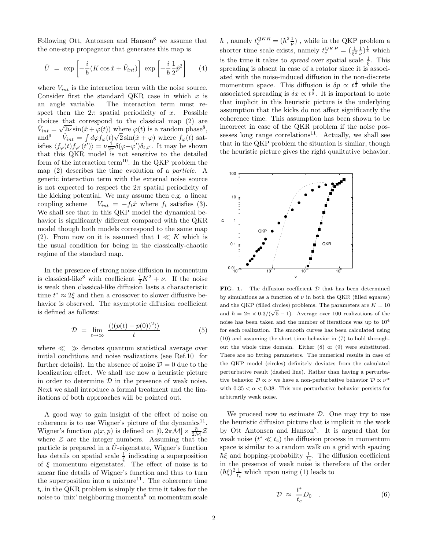Following Ott, Antonsen and Hanson<sup>8</sup> we assume that the one-step propagator that generates this map is

$$
\hat{U} = \exp\left[-\frac{i}{\hbar}(K\cos\hat{x} + \hat{V}_{int})\right] \exp\left[-\frac{i}{\hbar} \frac{1}{2}\hat{p}^2\right] \tag{4}
$$

where  $V_{int}$  is the interaction term with the noise source. Consider first the standard QKR case in which  $x$  is an angle variable. The interaction term must respect then the  $2\pi$  spatial periodicity of x. Possible choices that correspond to the classical map (2) are  $\hat{V}_{int} = \sqrt{2\nu} \sin(\hat{x} + \varphi(t))$  where  $\varphi(t)$  is a random phase<sup>8</sup>,  $and<sup>9</sup>$  $\vec{v}_{int} = \int d\varphi f_{\varphi}(t) \sqrt{2} \sin(\hat{x} + \varphi)$  where  $f_{\varphi}(t)$  satisfies  $\langle f_{\varphi}(t) f_{\varphi'}(t') \rangle = \nu \frac{1}{2\pi} \delta(\varphi - \varphi') \delta_{t,t'}$ . It may be shown that this QKR model is not sensitive to the detailed form of the interaction term<sup>10</sup>. In the QKP problem the map (2) describes the time evolution of a particle. A generic interaction term with the external noise source is not expected to respect the  $2\pi$  spatial periodicity of the kicking potential. We may assume then e.g. a linear coupling scheme  $V_{int} = -f_t \hat{x}$  where  $f_t$  satisfies (3). We shall see that in this QKP model the dynamical behavior is significantly different compared with the QKR model though both models correspond to the same map (2). From now on it is assumed that  $1 \ll K$  which is the usual condition for being in the classically-chaotic regime of the standard map.

In the presence of strong noise diffusion in momentum is classical-like<sup>8</sup> with coefficient  $\frac{1}{2}K^2 + \nu$ . If the noise is weak then classical-like diffusion lasts a characteristic time  $t^* \approx 2\xi$  and then a crossover to slower diffusive behavior is observed. The asymptotic diffusion coefficient is defined as follows:

$$
\mathcal{D} = \lim_{t \to \infty} \frac{\langle \langle (p(t) - p(0))^2 \rangle \rangle}{t} \tag{5}
$$

where  $\ll \gg$  denotes quantum statistical average over initial conditions and noise realizations (see Ref.10 for further details). In the absence of noise  $\mathcal{D} = 0$  due to the localization effect. We shall use now a heuristic picture in order to determine  $\mathcal D$  in the presence of weak noise. Next we shall introduce a formal treatment and the limitations of both approaches will be pointed out.

A good way to gain insight of the effect of noise on coherence is to use Wigner's picture of the dynamics<sup>11</sup>. Wigner's function  $\rho(x, p)$  is defined on  $[0, 2\pi \mathcal{M}] \times \frac{\hbar}{2\mathcal{M}} \mathcal{Z}$ where  $Z$  are the integer numbers. Assuming that the particle is prepared in a  $\hat{U}$ -eigenstate, Wigner's function has details on spatial scale  $\frac{1}{\xi}$  indicating a superposition of  $\xi$  momentum eigenstates. The effect of noise is to smear fine details of Wigner's function and thus to turn the superposition into a mixture<sup>11</sup>. The coherence time  $t_c$  in the QKR problem is simply the time it takes for the noise to 'mix' neighboring momenta<sup>8</sup> on momentum scale

 $\hbar$ , namely  $t_c^{QKR} = (\hbar^2 \frac{1}{\nu})$  $(\frac{1}{\nu})$ , while in the QKP problem a shorter time scale exists, namely  $t_c^{QKP} = \left(\frac{1}{\xi^2}\frac{1}{\nu}\right)$  $(\frac{1}{\nu})^{\frac{1}{3}}$  which is the time it takes to *spread* over spatial scale  $\frac{1}{\xi}$ . This spreading is absent in case of a rotator since it is associated with the noise-induced diffusion in the non-discrete momentum space. This diffusion is  $\delta p \propto t^{\frac{1}{2}}$  while the associated spreading is  $\delta x \propto t^{\frac{3}{2}}$ . It is important to note that implicit in this heuristic picture is the underlying assumption that the kicks do not affect significantly the coherence time. This assumption has been shown to be incorrect in case of the QKR problem if the noise possesses long range correlations<sup>11</sup>. Actually, we shall see that in the QKP problem the situation is similar, though the heuristic picture gives the right qualitative behavior.



FIG. 1. The diffusion coefficient  $D$  that has been determined by simulations as a function of  $\nu$  in both the QKR (filled squares) and the QKP (filled circles) problems. The parameters are  $K = 10$ and  $\hbar = 2\pi \times 0.3/(\sqrt{5} - 1)$ . Average over 100 realizations of the noise has been taken and the number of iterations was up to 10<sup>4</sup> for each realization. The smooth curves has been calculated using (10) and assuming the short time behavior in (7) to hold throughout the whole time domain. Either (8) or (9) were substituted. There are no fitting parameters. The numerical results in case of the QKP model (circles) definitely deviates from the calculated perturbative result (dashed line). Rather than having a perturbative behavior  $\mathcal{D} \propto \nu$  we have a non-perturbative behavior  $\mathcal{D} \propto \nu^{\alpha}$ with  $0.35 < \alpha < 0.38$ . This non-perturbative behavior persists for arbitrarily weak noise.

We proceed now to estimate  $\mathcal{D}$ . One may try to use the heuristic diffusion picture that is implicit in the work by Ott Antonsen and Hanson<sup>8</sup>. It is argued that for weak noise  $(t^* \ll t_c)$  the diffusion process in momentum space is similar to a random walk on a grid with spacing  $\hbar \xi$  and hopping-probability  $\frac{1}{t_c}$ . The diffusion coefficient in the presence of weak noise is therefore of the order  $(\hbar \xi)^2 \frac{1}{t_c}$  which upon using (1) leads to

$$
\mathcal{D} \approx \frac{t^*}{t_c} D_0 \quad . \tag{6}
$$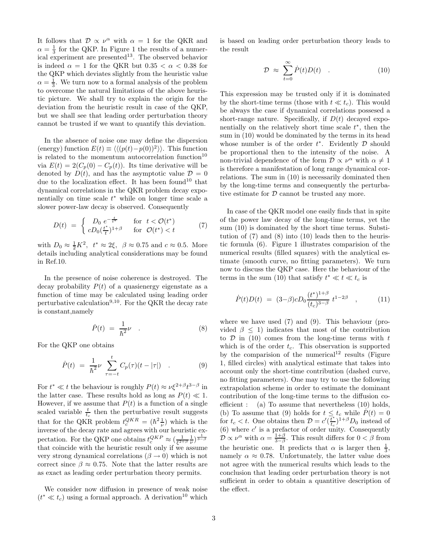It follows that  $\mathcal{D} \propto \nu^{\alpha}$  with  $\alpha = 1$  for the QKR and  $\alpha = \frac{1}{3}$  for the QKP. In Figure 1 the results of a numerical experiment are presented<sup>13</sup>. The observed behavior is indeed  $\alpha = 1$  for the QKR but  $0.35 < \alpha < 0.38$  for the QKP which deviates slightly from the heuristic value  $\alpha = \frac{1}{3}$ . We turn now to a formal analysis of the problem to overcome the natural limitations of the above heuristic picture. We shall try to explain the origin for the deviation from the heuristic result in case of the QKP, but we shall see that leading order perturbation theory cannot be trusted if we want to quantify this deviation.

In the absence of noise one may define the dispersion (energy) function  $E(t) \equiv \langle \langle (p(t)-p(0))^2 \rangle \rangle$ . This function is related to the momentum autocorrelation function<sup>10</sup> via  $E(t) = 2(C_p(0) - C_p(t))$ . Its time derivative will be denoted by  $D(t)$ , and has the asymptotic value  $\mathcal{D} = 0$ due to the localization effect. It has been found<sup>10</sup> that dynamical correlations in the QKR problem decay exponentially on time scale  $t^*$  while on longer time scale a slower power-law decay is observed. Consequently

$$
D(t) = \begin{cases} D_0 e^{-\frac{t}{t^*}} & \text{for } t < \mathcal{O}(t^*)\\ c D_0(\frac{t^*}{t})^{1+\beta} & \text{for } \mathcal{O}(t^*) < t \end{cases} \tag{7}
$$

with  $D_0 \approx \frac{1}{2}K^2$ ,  $t^* \approx 2\xi$ ,  $\beta \approx 0.75$  and  $c \approx 0.5$ . More details including analytical considerations may be found in Ref.10.

In the presence of noise coherence is destroyed. The decay probability  $P(t)$  of a quasienergy eigenstate as a function of time may be calculated using leading order perturbative calculation<sup>9,10</sup>. For the QKR the decay rate is constant,namely

$$
\dot{P}(t) = \frac{1}{\hbar^2} \nu \quad . \tag{8}
$$

For the QKP one obtains

$$
\dot{P}(t) \ = \ \frac{1}{\hbar^2} \nu \ \sum_{\tau=-t}^t C_p(\tau) (t - |\tau|) \quad . \tag{9}
$$

For  $t^* \ll t$  the behaviour is roughly  $P(t) \approx \nu \xi^{2+\beta} t^{3-\beta}$  in the latter case. These results hold as long as  $P(t) \ll 1$ . However, if we assume that  $P(t)$  is a function of a single scaled variable  $\frac{t}{t_c}$  then the perturbative result suggests that for the QKR problem  $t_c^{QKR} = (\hbar^2 \frac{1}{\nu})$  $(\frac{1}{\nu})$  which is the inverse of the decay rate and agrees with our heuristic expectation. For the QKP one obtains  $t_c^{QKP} \approx \left(\frac{1}{\xi^2}\right)$  $rac{1}{\xi^{2+\beta}}\frac{1}{\nu}$  $\frac{1}{\nu}$ )  $\frac{1}{3-\beta}$ that coincide with the heuristic result only if we assume very strong dynamical correlations ( $\beta \rightarrow 0$ ) which is not correct since  $\beta \approx 0.75$ . Note that the latter results are as exact as leading order perturbation theory permits.

We consider now diffusion in presence of weak noise  $(t^* \ll t_c)$  using a formal approach. A derivation<sup>10</sup> which

is based on leading order perturbation theory leads to the result

$$
\mathcal{D} \approx \sum_{t=0}^{\infty} \dot{P}(t) D(t) \quad . \tag{10}
$$

This expression may be trusted only if it is dominated by the short-time terms (those with  $t \ll t_c$ ). This would be always the case if dynamical correlations possesed a short-range nature. Specifically, if  $D(t)$  decayed exponentially on the relatively short time scale  $t^*$ , then the sum in (10) would be dominated by the terms in its head whose number is of the order  $t^*$ . Evidently  $\mathcal D$  should be proportional then to the intensity of the noise. A non-trivial dependence of the form  $\mathcal{D} \propto \nu^{\alpha}$  with  $\alpha \neq 1$ is therefore a manifestation of long range dynamical correlations. The sum in (10) is necessarily dominated then by the long-time terms and consequently the perturbative estimate for  $D$  cannot be trusted any more.

In case of the QKR model one easily finds that in spite of the power law decay of the long-time terms, yet the sum (10) is dominated by the short time terms. Substitution of (7) and (8) into (10) leads then to the heuristic formula (6). Figure 1 illustrates comparision of the numerical results (filled squares) with the analytical estimate (smooth curve, no fitting parameters). We turn now to discuss the QKP case. Here the behaviour of the terms in the sum (10) that satisfy  $t^* \ll t \ll t_c$  is

$$
\dot{P}(t)D(t) = (3-\beta)cD_0 \frac{(t^*)^{1+\beta}}{(t_c)^{3-\beta}} t^{1-2\beta} , \qquad (11)
$$

where we have used (7) and (9). This behaviour (provided  $\beta \leq 1$ ) indicates that most of the contribution to  $\mathcal D$  in (10) comes from the long-time terms with t which is of the order  $t_c$ . This observation is supported by the comparision of the numerical<sup>12</sup> results (Figure 1, filled circles) with analytical estimate that takes into account only the short-time contribution (dashed curve, no fitting parameters). One may try to use the following extrapolation scheme in order to estimate the dominant contribution of the long-time terms to the diffusion coefficient : (a) To assume that nevertheless (10) holds, (b) To assume that (9) holds for  $t \leq t_c$  while  $\dot{P}(t) = 0$ for  $t_c < t$ . One obtains then  $\mathcal{D} = c'(\frac{\overline{t}^*}{t_c})$  $\frac{t^*}{t_c}$ <sup>1+β</sup>D<sub>0</sub> instead of (6) where  $c'$  is a prefactor of order unity. Consequently  $\mathcal{D} \propto \nu^{\alpha}$  with  $\alpha = \frac{1+\beta}{3-\beta}$ . This result differs for  $0 < \beta$  from the heuristic one. It predicts that  $\alpha$  is larger then  $\frac{1}{3}$ , namely  $\alpha \approx 0.78$ . Unfortunately, the latter value does not agree with the numerical results which leads to the conclusion that leading order perturbation theory is not sufficient in order to obtain a quantitive description of the effect.